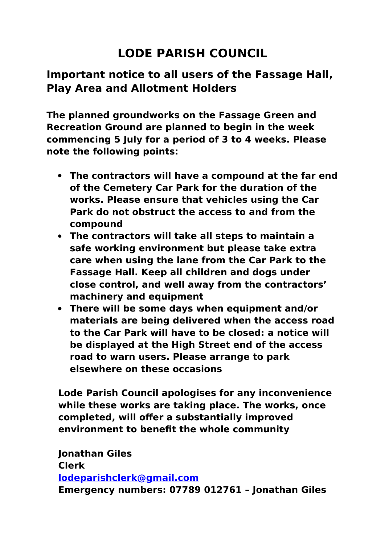## **LODE PARISH COUNCIL**

## **Important notice to all users of the Fassage Hall, Play Area and Allotment Holders**

**The planned groundworks on the Fassage Green and Recreation Ground are planned to begin in the week commencing 5 July for a period of 3 to 4 weeks. Please note the following points:**

- **The contractors will have a compound at the far end of the Cemetery Car Park for the duration of the works. Please ensure that vehicles using the Car Park do not obstruct the access to and from the compound**
- **The contractors will take all steps to maintain a safe working environment but please take extra care when using the lane from the Car Park to the Fassage Hall. Keep all children and dogs under close control, and well away from the contractors' machinery and equipment**
- **There will be some days when equipment and/or materials are being delivered when the access road to the Car Park will have to be closed: a notice will be displayed at the High Street end of the access road to warn users. Please arrange to park elsewhere on these occasions**

**Lode Parish Council apologises for any inconvenience while these works are taking place. The works, once completed, will offer a substantially improved environment to benefit the whole community**

**Jonathan Giles Clerk [lodeparishclerk@gmail.com](mailto:lodeparishclerk@gmail.com) Emergency numbers: 07789 012761 – Jonathan Giles**